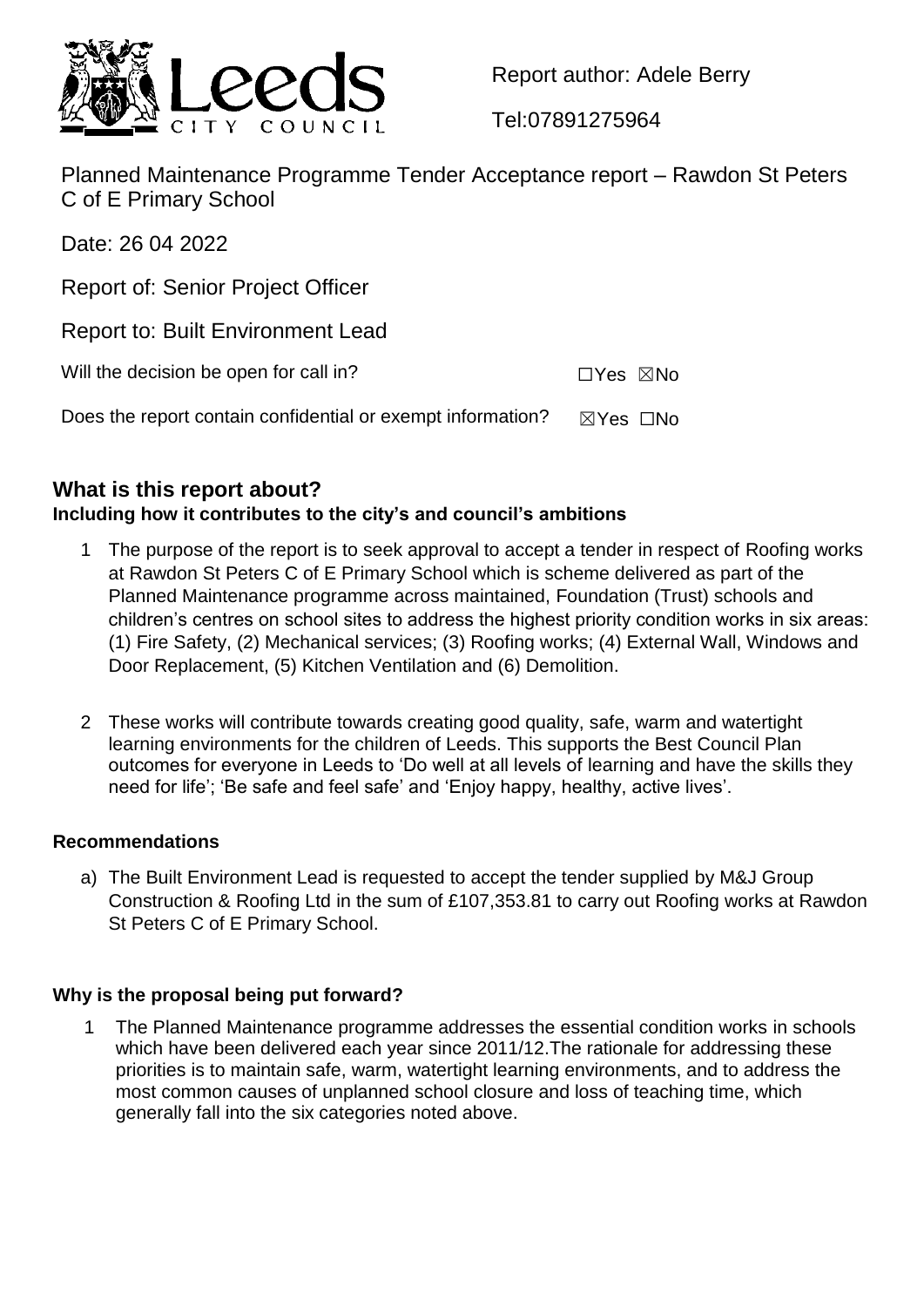

Report author: Adele Berry

Tel:07891275964

Planned Maintenance Programme Tender Acceptance report – Rawdon St Peters C of E Primary School

Date: 26 04 2022

Report of: Senior Project Officer

Report to: Built Environment Lead

Will the decision be open for call in? ☐Yes ☒No

Does the report contain confidential or exempt information?  $\boxtimes$  Yes  $\Box$ No

# **What is this report about?**

## **Including how it contributes to the city's and council's ambitions**

- 1 The purpose of the report is to seek approval to accept a tender in respect of Roofing works at Rawdon St Peters C of E Primary School which is scheme delivered as part of the Planned Maintenance programme across maintained, Foundation (Trust) schools and children's centres on school sites to address the highest priority condition works in six areas: (1) Fire Safety, (2) Mechanical services; (3) Roofing works; (4) External Wall, Windows and Door Replacement, (5) Kitchen Ventilation and (6) Demolition.
- 2 These works will contribute towards creating good quality, safe, warm and watertight learning environments for the children of Leeds. This supports the Best Council Plan outcomes for everyone in Leeds to 'Do well at all levels of learning and have the skills they need for life'; 'Be safe and feel safe' and 'Enjoy happy, healthy, active lives'.

### **Recommendations**

a) The Built Environment Lead is requested to accept the tender supplied by M&J Group Construction & Roofing Ltd in the sum of £107,353.81 to carry out Roofing works at Rawdon St Peters C of E Primary School.

### **Why is the proposal being put forward?**

1 The Planned Maintenance programme addresses the essential condition works in schools which have been delivered each year since 2011/12. The rationale for addressing these priorities is to maintain safe, warm, watertight learning environments, and to address the most common causes of unplanned school closure and loss of teaching time, which generally fall into the six categories noted above.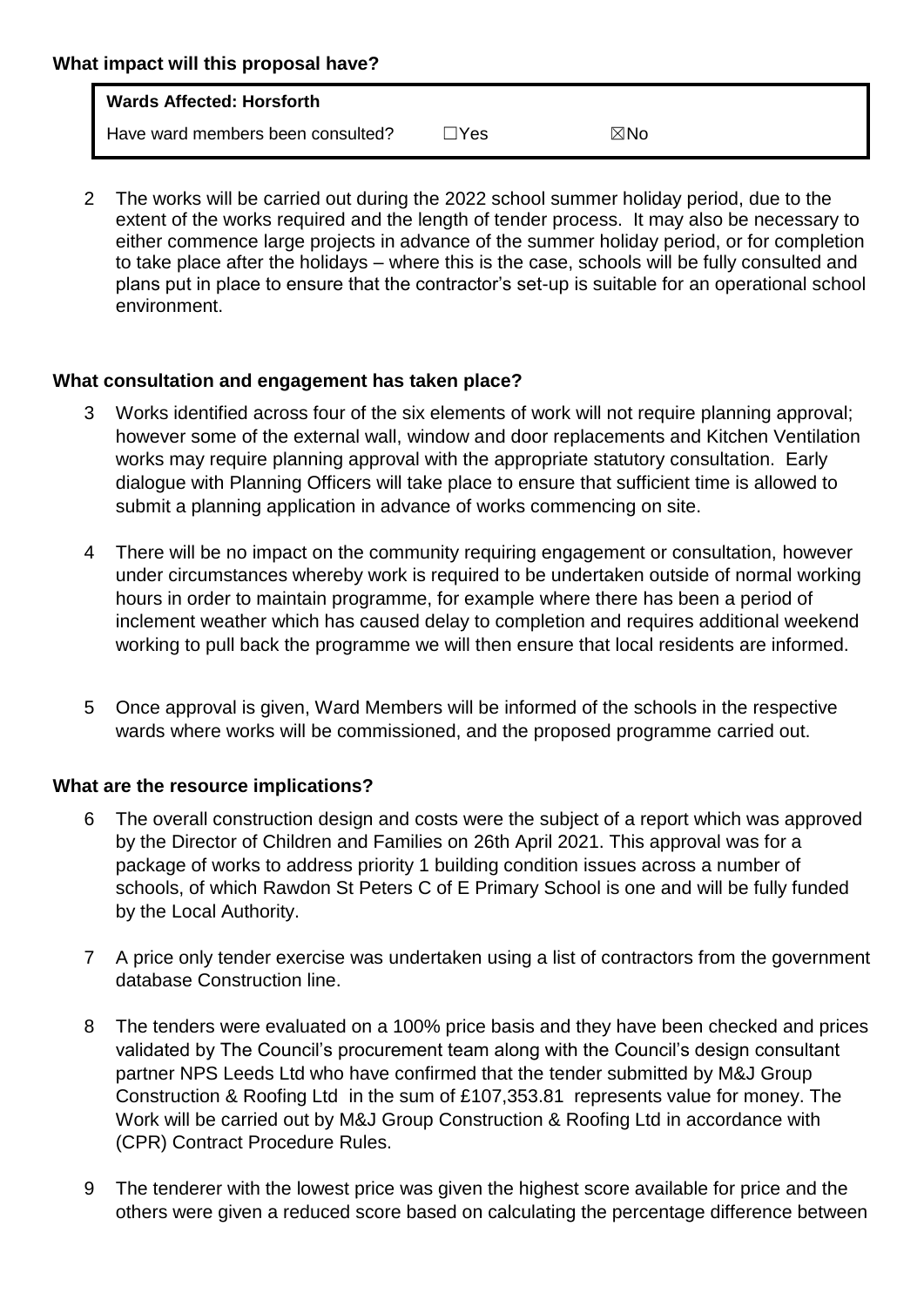| What impact will this proposal have? |                                   |      |     |  |
|--------------------------------------|-----------------------------------|------|-----|--|
|                                      | <b>Wards Affected: Horsforth</b>  |      |     |  |
|                                      | Have ward members been consulted? | lYes | ⊠No |  |

2 The works will be carried out during the 2022 school summer holiday period, due to the extent of the works required and the length of tender process. It may also be necessary to either commence large projects in advance of the summer holiday period, or for completion to take place after the holidays – where this is the case, schools will be fully consulted and plans put in place to ensure that the contractor's set-up is suitable for an operational school environment.

### **What consultation and engagement has taken place?**

- Works identified across four of the six elements of work will not require planning approval; however some of the external wall, window and door replacements and Kitchen Ventilation works may require planning approval with the appropriate statutory consultation. Early dialogue with Planning Officers will take place to ensure that sufficient time is allowed to submit a planning application in advance of works commencing on site.
- 4 There will be no impact on the community requiring engagement or consultation, however under circumstances whereby work is required to be undertaken outside of normal working hours in order to maintain programme, for example where there has been a period of inclement weather which has caused delay to completion and requires additional weekend working to pull back the programme we will then ensure that local residents are informed.
- 5 Once approval is given, Ward Members will be informed of the schools in the respective wards where works will be commissioned, and the proposed programme carried out.

#### **What are the resource implications?**

- 6 The overall construction design and costs were the subject of a report which was approved by the Director of Children and Families on 26th April 2021. This approval was for a package of works to address priority 1 building condition issues across a number of schools, of which Rawdon St Peters C of E Primary School is one and will be fully funded by the Local Authority.
- 7 A price only tender exercise was undertaken using a list of contractors from the government database Construction line.
- 8 The tenders were evaluated on a 100% price basis and they have been checked and prices validated by The Council's procurement team along with the Council's design consultant partner NPS Leeds Ltd who have confirmed that the tender submitted by M&J Group Construction & Roofing Ltd in the sum of £107,353.81 represents value for money. The Work will be carried out by M&J Group Construction & Roofing Ltd in accordance with (CPR) Contract Procedure Rules.
- 9 The tenderer with the lowest price was given the highest score available for price and the others were given a reduced score based on calculating the percentage difference between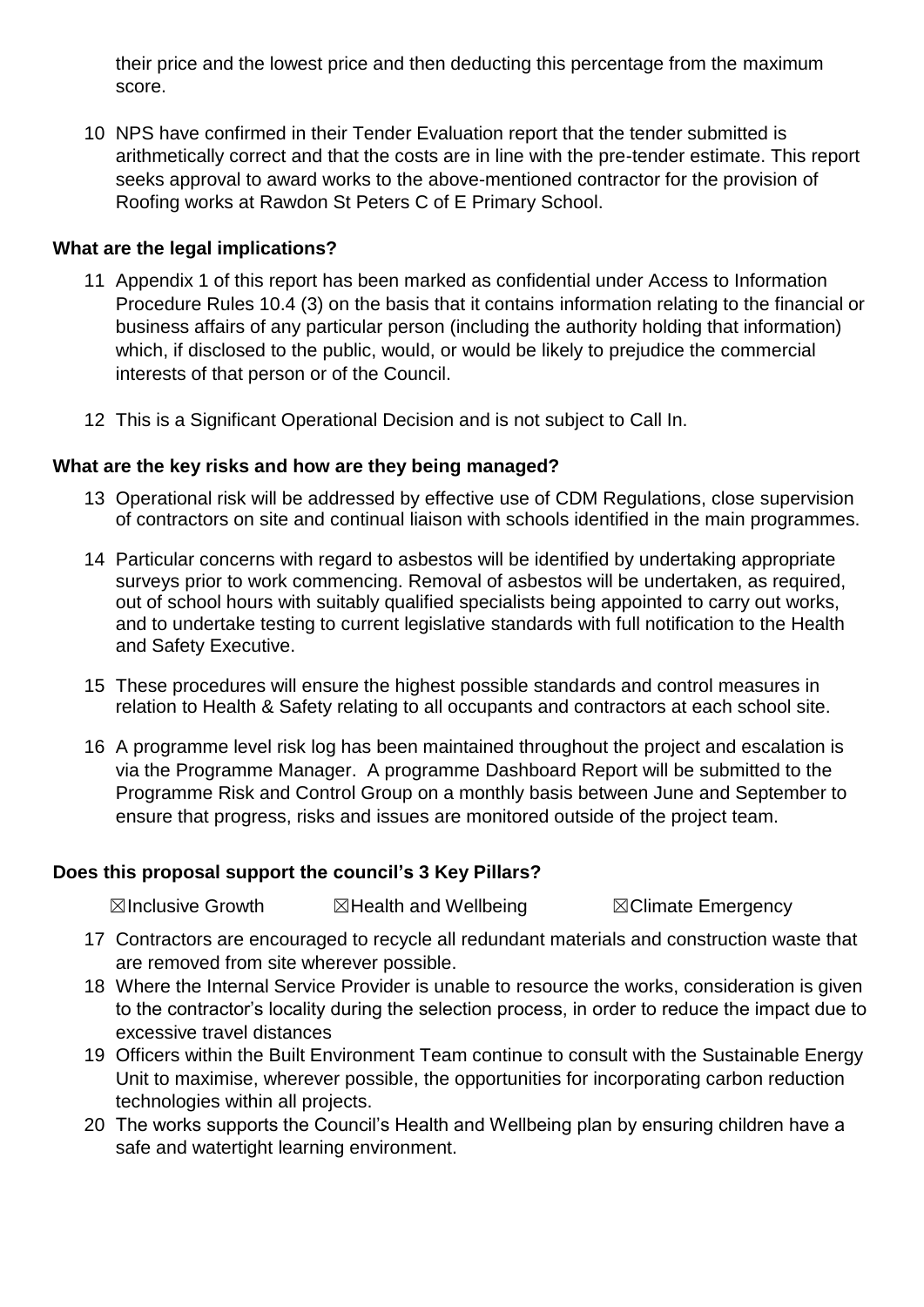their price and the lowest price and then deducting this percentage from the maximum score.

10 NPS have confirmed in their Tender Evaluation report that the tender submitted is arithmetically correct and that the costs are in line with the pre-tender estimate. This report seeks approval to award works to the above-mentioned contractor for the provision of Roofing works at Rawdon St Peters C of E Primary School.

### **What are the legal implications?**

- 11 Appendix 1 of this report has been marked as confidential under Access to Information Procedure Rules 10.4 (3) on the basis that it contains information relating to the financial or business affairs of any particular person (including the authority holding that information) which, if disclosed to the public, would, or would be likely to prejudice the commercial interests of that person or of the Council.
- 12 This is a Significant Operational Decision and is not subject to Call In.

### **What are the key risks and how are they being managed?**

- 13 Operational risk will be addressed by effective use of CDM Regulations, close supervision of contractors on site and continual liaison with schools identified in the main programmes.
- 14 Particular concerns with regard to asbestos will be identified by undertaking appropriate surveys prior to work commencing. Removal of asbestos will be undertaken, as required, out of school hours with suitably qualified specialists being appointed to carry out works, and to undertake testing to current legislative standards with full notification to the Health and Safety Executive.
- 15 These procedures will ensure the highest possible standards and control measures in relation to Health & Safety relating to all occupants and contractors at each school site.
- 16 A programme level risk log has been maintained throughout the project and escalation is via the Programme Manager. A programme Dashboard Report will be submitted to the Programme Risk and Control Group on a monthly basis between June and September to ensure that progress, risks and issues are monitored outside of the project team.

#### **Does this proposal support the council's 3 Key Pillars?**

**⊠Inclusive Growth 2 ⊠Health and Wellbeing 7 SClimate Emergency** 

- 17 Contractors are encouraged to recycle all redundant materials and construction waste that are removed from site wherever possible.
- 18 Where the Internal Service Provider is unable to resource the works, consideration is given to the contractor's locality during the selection process, in order to reduce the impact due to excessive travel distances
- 19 Officers within the Built Environment Team continue to consult with the Sustainable Energy Unit to maximise, wherever possible, the opportunities for incorporating carbon reduction technologies within all projects.
- 20 The works supports the Council's Health and Wellbeing plan by ensuring children have a safe and watertight learning environment.